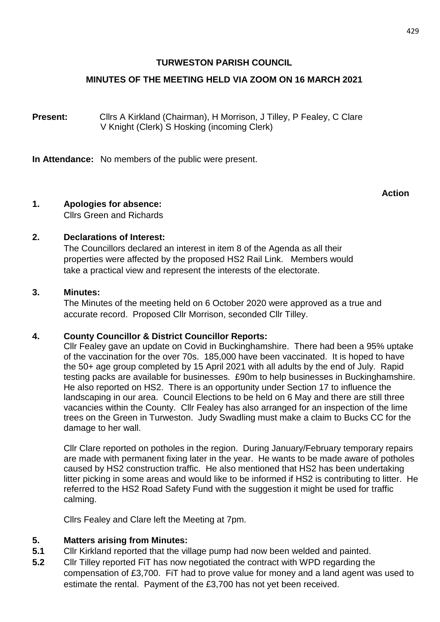### **TURWESTON PARISH COUNCIL**

### **MINUTES OF THE MEETING HELD VIA ZOOM ON 16 MARCH 2021**

**Present:** Cllrs A Kirkland (Chairman), H Morrison, J Tilley, P Fealey, C Clare V Knight (Clerk) S Hosking (incoming Clerk)

**In Attendance:** No members of the public were present.

### **Action**

### **1. Apologies for absence:**

Cllrs Green and Richards

### **2. Declarations of Interest:**

The Councillors declared an interest in item 8 of the Agenda as all their properties were affected by the proposed HS2 Rail Link. Members would take a practical view and represent the interests of the electorate.

### **3. Minutes:**

The Minutes of the meeting held on 6 October 2020 were approved as a true and accurate record. Proposed Cllr Morrison, seconded Cllr Tilley.

### **4. County Councillor & District Councillor Reports:**

Cllr Fealey gave an update on Covid in Buckinghamshire. There had been a 95% uptake of the vaccination for the over 70s. 185,000 have been vaccinated. It is hoped to have the 50+ age group completed by 15 April 2021 with all adults by the end of July. Rapid testing packs are available for businesses. £90m to help businesses in Buckinghamshire. He also reported on HS2. There is an opportunity under Section 17 to influence the landscaping in our area. Council Elections to be held on 6 May and there are still three vacancies within the County. Cllr Fealey has also arranged for an inspection of the lime trees on the Green in Turweston. Judy Swadling must make a claim to Bucks CC for the damage to her wall.

Cllr Clare reported on potholes in the region. During January/February temporary repairs are made with permanent fixing later in the year. He wants to be made aware of potholes caused by HS2 construction traffic. He also mentioned that HS2 has been undertaking litter picking in some areas and would like to be informed if HS2 is contributing to litter. He referred to the HS2 Road Safety Fund with the suggestion it might be used for traffic calming.

Cllrs Fealey and Clare left the Meeting at 7pm.

### **5. Matters arising from Minutes:**

- **5.1** Cllr Kirkland reported that the village pump had now been welded and painted.
- **5.2** Cllr Tilley reported FiT has now negotiated the contract with WPD regarding the compensation of £3,700. FiT had to prove value for money and a land agent was used to estimate the rental. Payment of the £3,700 has not yet been received.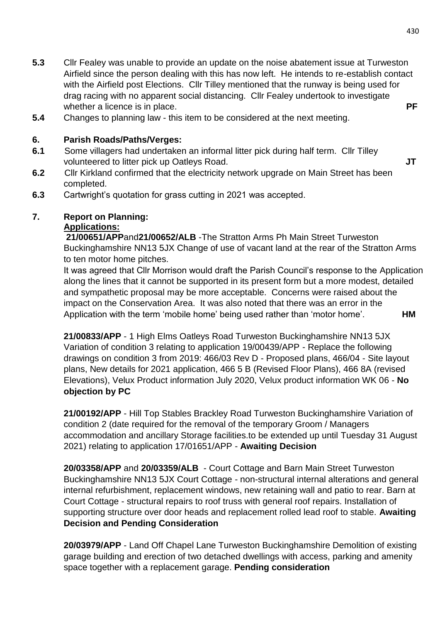- **5.3** Cllr Fealey was unable to provide an update on the noise abatement issue at Turweston Airfield since the person dealing with this has now left. He intends to re-establish contact with the Airfield post Elections. Cllr Tilley mentioned that the runway is being used for drag racing with no apparent social distancing. Cllr Fealey undertook to investigate whether a licence is in place. **PF**
- **5.4** Changes to planning law this item to be considered at the next meeting.

## **6. Parish Roads/Paths/Verges:**

- **6.1** Some villagers had undertaken an informal litter pick during half term. Cllr Tilley volunteered to litter pick up Oatleys Road. **JT**
- **6.2** Cllr Kirkland confirmed that the electricity network upgrade on Main Street has been completed.
- **6.3** Cartwright's quotation for grass cutting in 2021 was accepted.

# **7. Report on Planning:**

## **Applications:**

**21/00651/APP**and**21/00652/ALB** -The Stratton Arms Ph Main Street Turweston Buckinghamshire NN13 5JX Change of use of vacant land at the rear of the Stratton Arms to ten motor home pitches.

It was agreed that Cllr Morrison would draft the Parish Council's response to the Application along the lines that it cannot be supported in its present form but a more modest, detailed and sympathetic proposal may be more acceptable. Concerns were raised about the impact on the Conservation Area. It was also noted that there was an error in the Application with the term 'mobile home' being used rather than 'motor home'. **HM**

**21/00833/APP** - 1 High Elms Oatleys Road Turweston Buckinghamshire NN13 5JX Variation of condition 3 relating to application 19/00439/APP - Replace the following drawings on condition 3 from 2019: 466/03 Rev D - Proposed plans, 466/04 - Site layout plans, New details for 2021 application, 466 5 B (Revised Floor Plans), 466 8A (revised Elevations), Velux Product information July 2020, Velux product information WK 06 - **No objection by PC**

**21/00192/APP** - Hill Top Stables Brackley Road Turweston Buckinghamshire Variation of condition 2 (date required for the removal of the temporary Groom / Managers accommodation and ancillary Storage facilities.to be extended up until Tuesday 31 August 2021) relating to application 17/01651/APP - **Awaiting Decision**

**20/03358/APP** and **20/03359/ALB** - Court Cottage and Barn Main Street Turweston Buckinghamshire NN13 5JX Court Cottage - non-structural internal alterations and general internal refurbishment, replacement windows, new retaining wall and patio to rear. Barn at Court Cottage - structural repairs to roof truss with general roof repairs. Installation of supporting structure over door heads and replacement rolled lead roof to stable. **Awaiting Decision and Pending Consideration**

**20/03979/APP** - Land Off Chapel Lane Turweston Buckinghamshire Demolition of existing garage building and erection of two detached dwellings with access, parking and amenity space together with a replacement garage. **Pending consideration**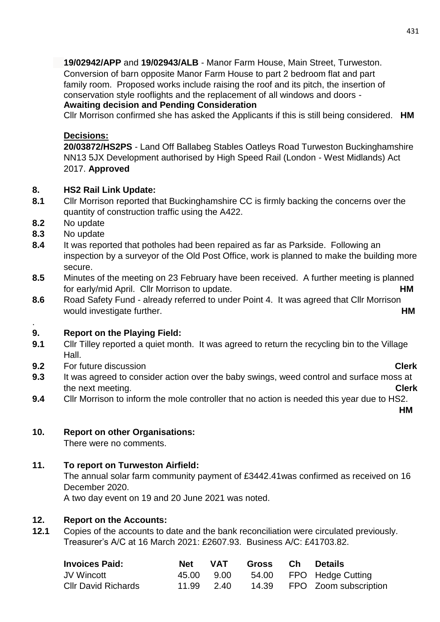**19/02942/APP** and **19/02943/ALB** - Manor Farm House, Main Street, Turweston. Conversion of barn opposite Manor Farm House to part 2 bedroom flat and part family room. Proposed works include raising the roof and its pitch, the insertion of conservation style rooflights and the replacement of all windows and doors - **Awaiting decision and Pending Consideration**

Cllr Morrison confirmed she has asked the Applicants if this is still being considered. **HM**

## **Decisions:**

**20/03872/HS2PS** - Land Off Ballabeg Stables Oatleys Road Turweston Buckinghamshire NN13 5JX Development authorised by High Speed Rail (London - West Midlands) Act 2017. **Approved**

## **8. HS2 Rail Link Update:**

- **8.1** Cllr Morrison reported that Buckinghamshire CC is firmly backing the concerns over the quantity of construction traffic using the A422.
- **8.2** No update
- **8.3** No update

.

- **8.4** It was reported that potholes had been repaired as far as Parkside. Following an inspection by a surveyor of the Old Post Office, work is planned to make the building more secure.
- **8.5** Minutes of the meeting on 23 February have been received. A further meeting is planned for early/mid April. Cllr Morrison to update. **HM**
- **8.6** Road Safety Fund already referred to under Point 4. It was agreed that Cllr Morrison would investigate further. **HM**

## **9. Report on the Playing Field:**

- **9.1** Clir Tilley reported a quiet month. It was agreed to return the recycling bin to the Village Hall.
- **9.2** For future discussion **Clerk**
- **9.3** It was agreed to consider action over the baby swings, weed control and surface moss at the next meeting. **Clerk**
- **9.4** Cllr Morrison to inform the mole controller that no action is needed this year due to HS2.

**HM**

# **10. Report on other Organisations:**

There were no comments.

# **11. To report on Turweston Airfield:**

The annual solar farm community payment of £3442.41was confirmed as received on 16 December 2020.

A two day event on 19 and 20 June 2021 was noted.

# **12. Report on the Accounts:**

**12.1** Copies of the accounts to date and the bank reconciliation were circulated previously. Treasurer's A/C at 16 March 2021: £2607.93. Business A/C: £41703.82.

| <b>Invoices Paid:</b>      | Net        | VAT  | Gross | Ch Details                  |
|----------------------------|------------|------|-------|-----------------------------|
| JV Wincott                 | 45.00      | 9.00 |       | 54.00 FPO Hedge Cutting     |
| <b>CIIr David Richards</b> | 11.99 2.40 |      |       | 14.39 FPO Zoom subscription |